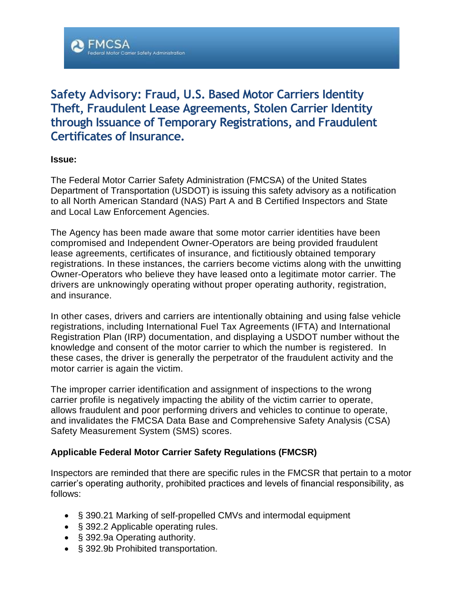

# **Safety Advisory: Fraud, U.S. Based Motor Carriers Identity Theft, Fraudulent Lease Agreements, Stolen Carrier Identity through Issuance of Temporary Registrations, and Fraudulent Certificates of Insurance.**

#### **Issue:**

The Federal Motor Carrier Safety Administration (FMCSA) of the United States Department of Transportation (USDOT) is issuing this safety advisory as a notification to all North American Standard (NAS) Part A and B Certified Inspectors and State and Local Law Enforcement Agencies.

The Agency has been made aware that some motor carrier identities have been compromised and Independent Owner-Operators are being provided fraudulent lease agreements, certificates of insurance, and fictitiously obtained temporary registrations. In these instances, the carriers become victims along with the unwitting Owner-Operators who believe they have leased onto a legitimate motor carrier. The drivers are unknowingly operating without proper operating authority, registration, and insurance.

In other cases, drivers and carriers are intentionally obtaining and using false vehicle registrations, including International Fuel Tax Agreements (IFTA) and International Registration Plan (IRP) documentation, and displaying a USDOT number without the knowledge and consent of the motor carrier to which the number is registered. In these cases, the driver is generally the perpetrator of the fraudulent activity and the motor carrier is again the victim.

The improper carrier identification and assignment of inspections to the wrong carrier profile is negatively impacting the ability of the victim carrier to operate, allows fraudulent and poor performing drivers and vehicles to continue to operate, and invalidates the FMCSA Data Base and Comprehensive Safety Analysis (CSA) Safety Measurement System (SMS) scores.

# **Applicable Federal Motor Carrier Safety Regulations (FMCSR)**

Inspectors are reminded that there are specific rules in the FMCSR that pertain to a motor carrier's operating authority, prohibited practices and levels of financial responsibility, as follows:

- § 390.21 Marking of self-propelled CMVs and intermodal equipment
- § 392.2 Applicable operating rules.
- § 392.9a Operating authority.
- § 392.9b Prohibited transportation.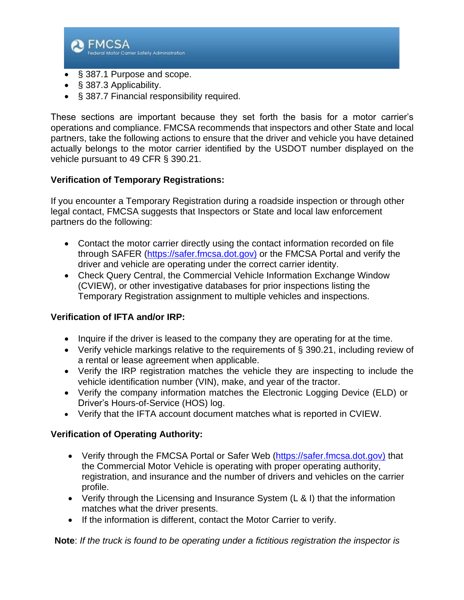

- § 387.3 Applicability.
- § 387.7 Financial responsibility required.

These sections are important because they set forth the basis for a motor carrier's operations and compliance. FMCSA recommends that inspectors and other State and local partners, take the following actions to ensure that the driver and vehicle you have detained actually belongs to the motor carrier identified by the USDOT number displayed on the vehicle pursuant to 49 CFR § 390.21.

### **Verification of Temporary Registrations:**

If you encounter a Temporary Registration during a roadside inspection or through other legal contact, FMCSA suggests that Inspectors or State and local law enforcement partners do the following:

- Contact the motor carrier directly using the contact information recorded on file through SAFER [\(https://safer.fmcsa.dot.gov\)](https://safer.fmcsa.dot.gov/) or the FMCSA Portal and verify the driver and vehicle are operating under the correct carrier identity.
- Check Query Central, the Commercial Vehicle Information Exchange Window (CVIEW), or other investigative databases for prior inspections listing the Temporary Registration assignment to multiple vehicles and inspections.

# **Verification of IFTA and/or IRP:**

- Inquire if the driver is leased to the company they are operating for at the time.
- Verify vehicle markings relative to the requirements of § 390.21, including review of a rental or lease agreement when applicable.
- Verify the IRP registration matches the vehicle they are inspecting to include the vehicle identification number (VIN), make, and year of the tractor.
- Verify the company information matches the Electronic Logging Device (ELD) or Driver's Hours-of-Service (HOS) log.
- Verify that the IFTA account document matches what is reported in CVIEW.

#### **Verification of Operating Authority:**

- Verify through the FMCSA Portal or Safer Web [\(https://safer.fmcsa.dot.gov\)](https://safer.fmcsa.dot.gov/) that the Commercial Motor Vehicle is operating with proper operating authority, registration, and insurance and the number of drivers and vehicles on the carrier profile.
- Verify through the Licensing and Insurance System (L & I) that the information matches what the driver presents.
- If the information is different, contact the Motor Carrier to verify.

**Note**: *If the truck is found to be operating under a fictitious registration the inspector is*